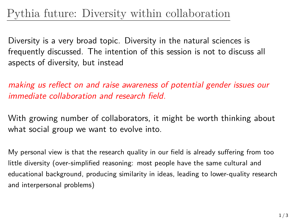## Pythia future: Diversity within collaboration

Diversity is a very broad topic. Diversity in the natural sciences is frequently discussed. The intention of this session is not to discuss all aspects of diversity, but instead

*making us reflect on and raise awareness of potential gender issues our immediate collaboration and research field.*

With growing number of collaborators, it might be worth thinking about what social group we want to evolve into.

My personal view is that the research quality in our field is already suffering from too little diversity (over-simplified reasoning: most people have the same cultural and educational background, producing similarity in ideas, leading to lower-quality research and interpersonal problems)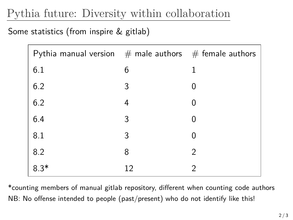## Pythia future: Diversity within collaboration

## Some statistics (from inspire & gitlab)

| Pythia manual version $#$ male authors $#$ female authors |    |          |
|-----------------------------------------------------------|----|----------|
| 6.1                                                       | 6  | 1        |
| 6.2                                                       | 3  | 0        |
| 6.2                                                       | 4  | 0        |
| 6.4                                                       | 3  | $\Omega$ |
| 8.1                                                       | 3  | 0        |
| 8.2                                                       | 8  | 2        |
| $8.3*$                                                    | 12 | 2        |

\*counting members of manual gitlab repository, different when counting code authors NB: No offense intended to people (past/present) who do not identify like this!